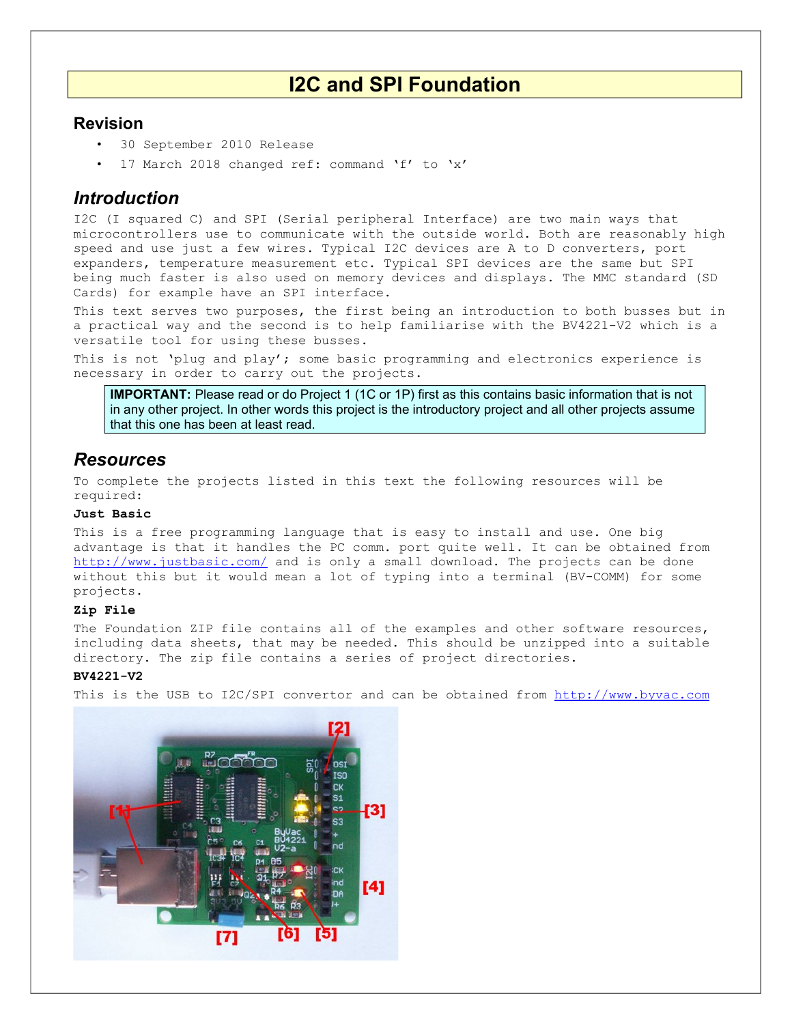# **I2C and SPI Foundation**

### **Revision**

- 30 September 2010 Release
- 17 March 2018 changed ref: command 'f' to 'x'

## *Introduction*

I2C (I squared C) and SPI (Serial peripheral Interface) are two main ways that microcontrollers use to communicate with the outside world. Both are reasonably high speed and use just a few wires. Typical I2C devices are A to D converters, port expanders, temperature measurement etc. Typical SPI devices are the same but SPI being much faster is also used on memory devices and displays. The MMC standard (SD Cards) for example have an SPI interface.

This text serves two purposes, the first being an introduction to both busses but in a practical way and the second is to help familiarise with the BV4221-V2 which is a versatile tool for using these busses.

This is not 'plug and play'; some basic programming and electronics experience is necessary in order to carry out the projects.

**IMPORTANT:** Please read or do Project 1 (1C or 1P) first as this contains basic information that is not in any other project. In other words this project is the introductory project and all other projects assume that this one has been at least read.

## *Resources*

To complete the projects listed in this text the following resources will be required:

#### **Just Basic**

This is a free programming language that is easy to install and use. One big advantage is that it handles the PC comm. port quite well. It can be obtained from <http://www.justbasic.com/>and is only a small download. The projects can be done without this but it would mean a lot of typing into a terminal (BV-COMM) for some projects.

#### **Zip File**

The Foundation ZIP file contains all of the examples and other software resources, including data sheets, that may be needed. This should be unzipped into a suitable directory. The zip file contains a series of project directories.

#### **BV4221-V2**

This is the USB to I2C/SPI convertor and can be obtained from [http://www.byvac.com](http://www.byvac.com/)

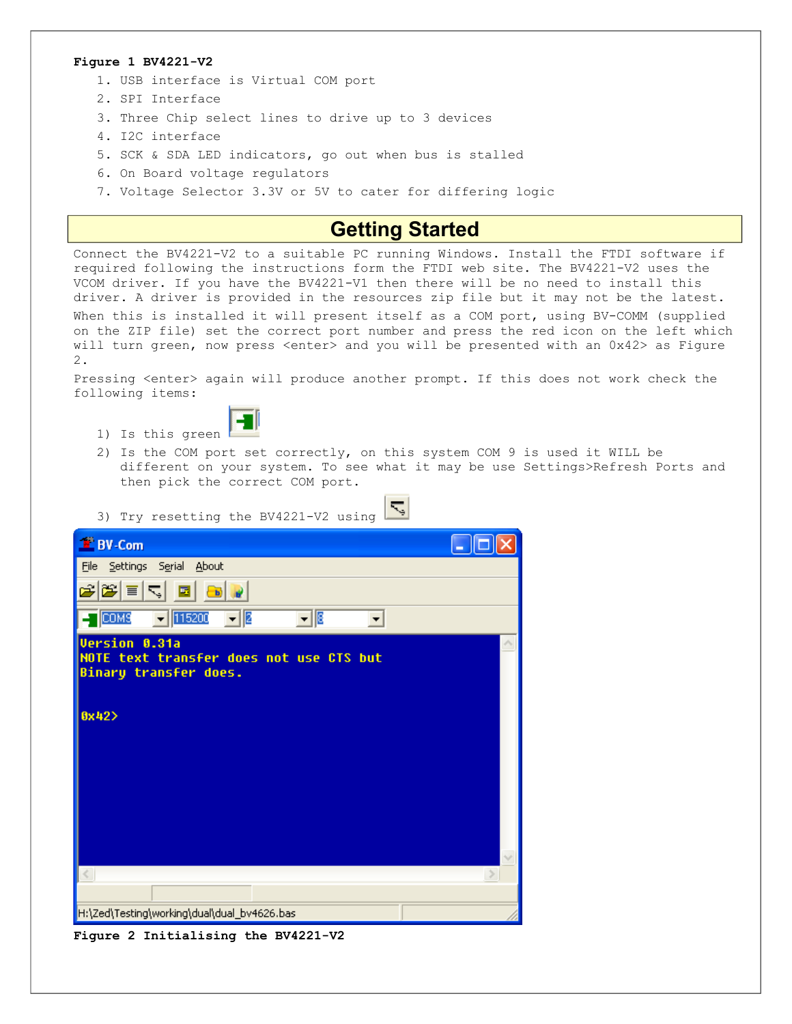#### **Figure 1 BV4221-V2**

- 1. USB interface is Virtual COM port
- 2. SPI Interface
- 3. Three Chip select lines to drive up to 3 devices
- 4. I2C interface
- 5. SCK & SDA LED indicators, go out when bus is stalled
- 6. On Board voltage regulators
- 7. Voltage Selector 3.3V or 5V to cater for differing logic

# **Getting Started**

Connect the BV4221-V2 to a suitable PC running Windows. Install the FTDI software if required following the instructions form the FTDI web site. The BV4221-V2 uses the VCOM driver. If you have the BV4221-V1 then there will be no need to install this driver. A driver is provided in the resources zip file but it may not be the latest. When this is installed it will present itself as a COM port, using BV-COMM (supplied on the ZIP file) set the correct port number and press the red icon on the left which will turn green, now press <enter> and you will be presented with an 0x42> as Figure [2.](#page-1-0)

Pressing <enter> again will produce another prompt. If this does not work check the following items:



2) Is the COM port set correctly, on this system COM 9 is used it WILL be different on your system. To see what it may be use Settings>Refresh Ports and then pick the correct COM port.

 $\overline{a}$ 

| 3) Try resetting the BV4221-V2 using $\frac{1}{\sqrt{2}}$                                        |  |
|--------------------------------------------------------------------------------------------------|--|
| <b>BV-Com</b>                                                                                    |  |
| File Settings Serial About                                                                       |  |
| GBE5 E<br>$\left  \begin{array}{c} 1 \\ 0 \\ 0 \end{array} \right $                              |  |
| $\frac{1}{2}$ COMS $\frac{1}{2}$ 115200 $\frac{1}{2}$<br>⊡ह<br>$\blacktriangledown$              |  |
| <b>Version 0.31a</b><br>NOTE text transfer does not use CTS but<br>Binary transfer does.<br>0x42 |  |
|                                                                                                  |  |
|                                                                                                  |  |
| H:\Zed\Testing\working\dual\dual_bv4626.bas                                                      |  |
|                                                                                                  |  |

<span id="page-1-0"></span>**Figure 2 Initialising the BV4221-V2**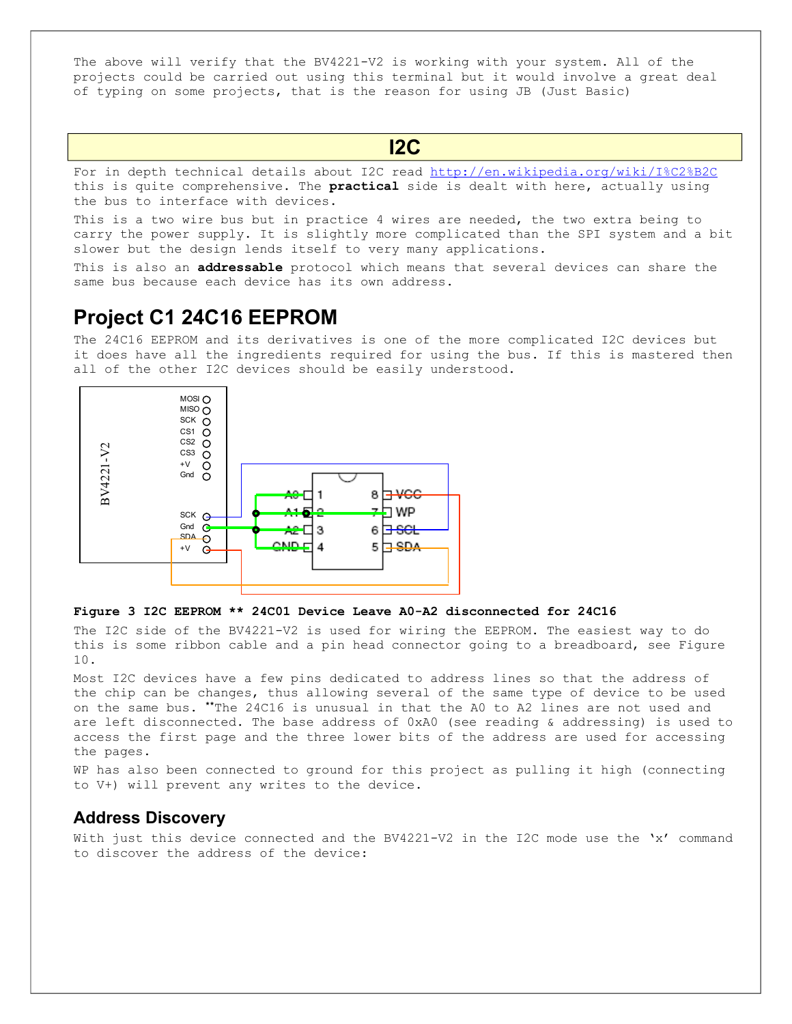The above will verify that the BV4221-V2 is working with your system. All of the projects could be carried out using this terminal but it would involve a great deal of typing on some projects, that is the reason for using JB (Just Basic)

# **I2C**

For in depth technical details about I2C read<http://en.wikipedia.org/wiki/I%C2%B2C> this is quite comprehensive. The **practical** side is dealt with here, actually using the bus to interface with devices.

This is a two wire bus but in practice 4 wires are needed, the two extra being to carry the power supply. It is slightly more complicated than the SPI system and a bit slower but the design lends itself to very many applications.

This is also an **addressable** protocol which means that several devices can share the same bus because each device has its own address.

# **Project C1 24C16 EEPROM**

The 24C16 EEPROM and its derivatives is one of the more complicated I2C devices but it does have all the ingredients required for using the bus. If this is mastered then all of the other I2C devices should be easily understood.



#### **Figure 3 I2C EEPROM \*\* 24C01 Device Leave A0-A2 disconnected for 24C16**

The I2C side of the BV4221-V2 is used for wiring the EEPROM. The easiest way to do this is some ribbon cable and a pin head connector going to a breadboard, see [Figure](#page-9-0)  [10.](#page-9-0)

Most I2C devices have a few pins dedicated to address lines so that the address of the chip can be changes, thus allowing several of the same type of device to be used on the same bus. **\*\***The 24C16 is unusual in that the A0 to A2 lines are not used and are left disconnected. The base address of 0xA0 (see reading & addressing) is used to access the first page and the three lower bits of the address are used for accessing the pages.

WP has also been connected to ground for this project as pulling it high (connecting to V+) will prevent any writes to the device.

### **Address Discovery**

With just this device connected and the BV4221-V2 in the I2C mode use the 'x' command to discover the address of the device: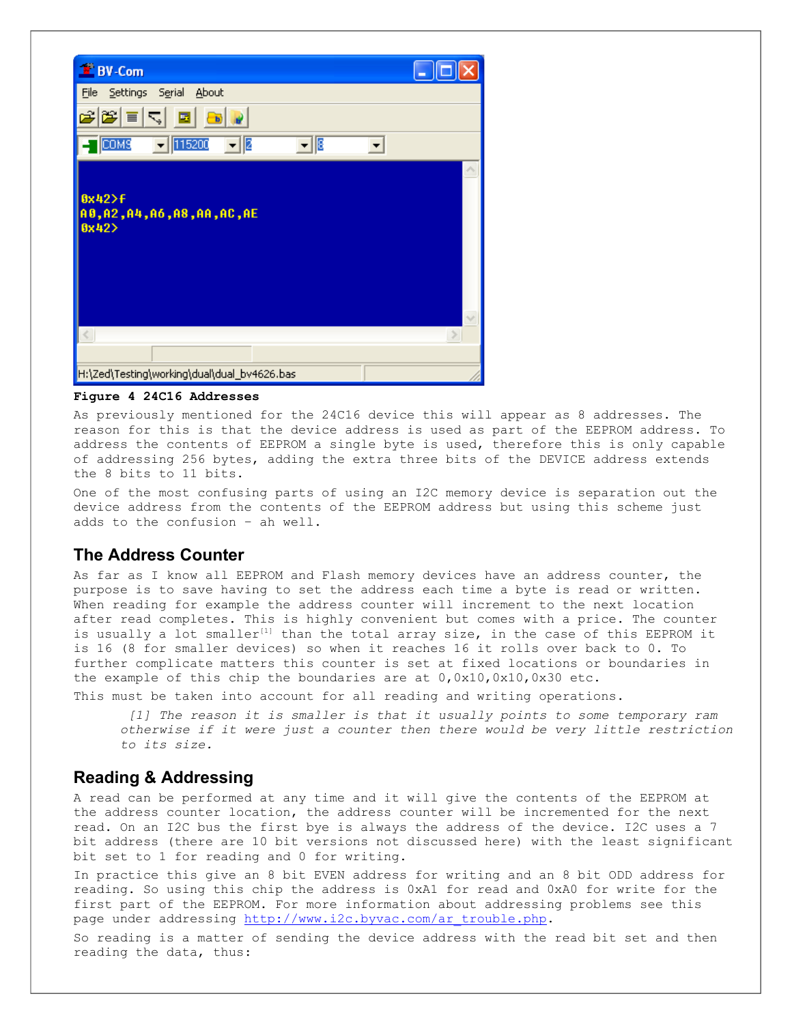

#### **Figure 4 24C16 Addresses**

As previously mentioned for the 24C16 device this will appear as 8 addresses. The reason for this is that the device address is used as part of the EEPROM address. To address the contents of EEPROM a single byte is used, therefore this is only capable of addressing 256 bytes, adding the extra three bits of the DEVICE address extends the 8 bits to 11 bits.

One of the most confusing parts of using an I2C memory device is separation out the device address from the contents of the EEPROM address but using this scheme just adds to the confusion – ah well.

### **The Address Counter**

As far as I know all EEPROM and Flash memory devices have an address counter, the purpose is to save having to set the address each time a byte is read or written. When reading for example the address counter will increment to the next location after read completes. This is highly convenient but comes with a price. The counter is usually a lot smaller<sup>[1]</sup> than the total array size, in the case of this EEPROM it is 16 (8 for smaller devices) so when it reaches 16 it rolls over back to 0. To further complicate matters this counter is set at fixed locations or boundaries in the example of this chip the boundaries are at  $0,0x10,0x10,0x30$  etc.

This must be taken into account for all reading and writing operations.

*[1] The reason it is smaller is that it usually points to some temporary ram otherwise if it were just a counter then there would be very little restriction to its size.*

### **Reading & Addressing**

A read can be performed at any time and it will give the contents of the EEPROM at the address counter location, the address counter will be incremented for the next read. On an I2C bus the first bye is always the address of the device. I2C uses a 7 bit address (there are 10 bit versions not discussed here) with the least significant bit set to 1 for reading and 0 for writing.

In practice this give an 8 bit EVEN address for writing and an 8 bit ODD address for reading. So using this chip the address is 0xA1 for read and 0xA0 for write for the first part of the EEPROM. For more information about addressing problems see this page under addressing [http://www.i2c.byvac.com/ar\\_trouble.php.](http://www.i2c.byvac.com/ar_trouble.php)

So reading is a matter of sending the device address with the read bit set and then reading the data, thus: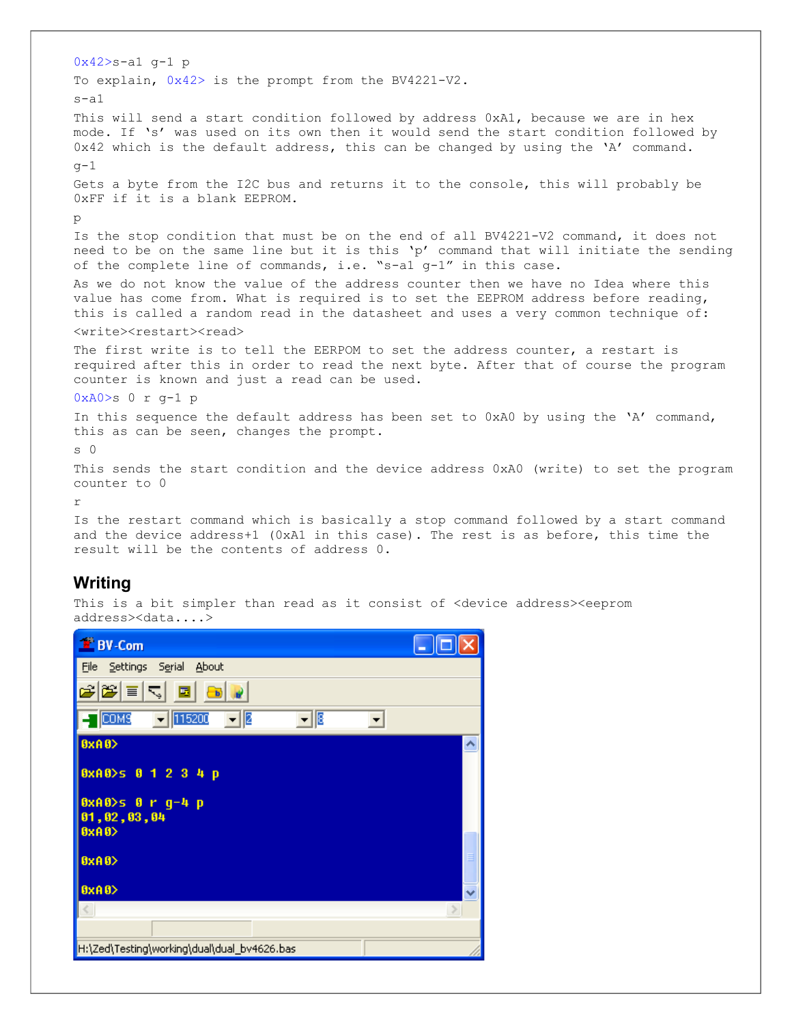```
0x42>s-a1 g-1 p 
To explain, 0x42> is the prompt from the BV4221-V2.
s - a1This will send a start condition followed by address 0xA1, because we are in hex
mode. If 's' was used on its own then it would send the start condition followed by 
0x42 which is the default address, this can be changed by using the 'A' command.
q-1Gets a byte from the I2C bus and returns it to the console, this will probably be 
0xFF if it is a blank EEPROM.
p
Is the stop condition that must be on the end of all BV4221-V2 command, it does not 
need to be on the same line but it is this 'p' command that will initiate the sending
of the complete line of commands, i.e. "s-a1 g-1" in this case.
As we do not know the value of the address counter then we have no Idea where this 
value has come from. What is required is to set the EEPROM address before reading, 
this is called a random read in the datasheet and uses a very common technique of:
<write><restart><read>
The first write is to tell the EERPOM to set the address counter, a restart is 
required after this in order to read the next byte. After that of course the program 
counter is known and just a read can be used.
0xA0>s 0 r g-1 p
In this sequence the default address has been set to 0xA0 by using the 'A' command, 
this as can be seen, changes the prompt.
s 0
This sends the start condition and the device address 0xA0 (write) to set the program
counter to 0
r
Is the restart command which is basically a stop command followed by a start command 
and the device address+1 (0xA1 in this case). The rest is as before, this time the
```
### **Writing**

This is a bit simpler than read as it consist of <device address><eeprom address><data....>

| <b>BV-Com</b>                                                           |   |   |
|-------------------------------------------------------------------------|---|---|
| Eile<br>Settings Serial<br><b>About</b>                                 |   |   |
| 68≋∣≡∣<<br>區<br>$\overline{\mathbf{b}}$                                 |   |   |
| $\frac{1}{2}$ 115200<br>그한<br>$\blacksquare$ COM9<br>$  \mathbf{v}  $ 2 | ▼ |   |
| $0 \times 00$                                                           |   |   |
| 0xA0>s 0 1 2 3 4 p                                                      |   |   |
| $0 \times 0$ $0 \times 0$ $-4$ $p$                                      |   |   |
| 01, 02, 03, 04<br>0xA0                                                  |   |   |
| 0xA0                                                                    |   |   |
|                                                                         |   |   |
| 0xA0                                                                    |   | Ÿ |
|                                                                         |   |   |
|                                                                         |   |   |
| H:\Zed\Testing\working\dual\dual_bv4626.bas                             |   |   |

result will be the contents of address 0.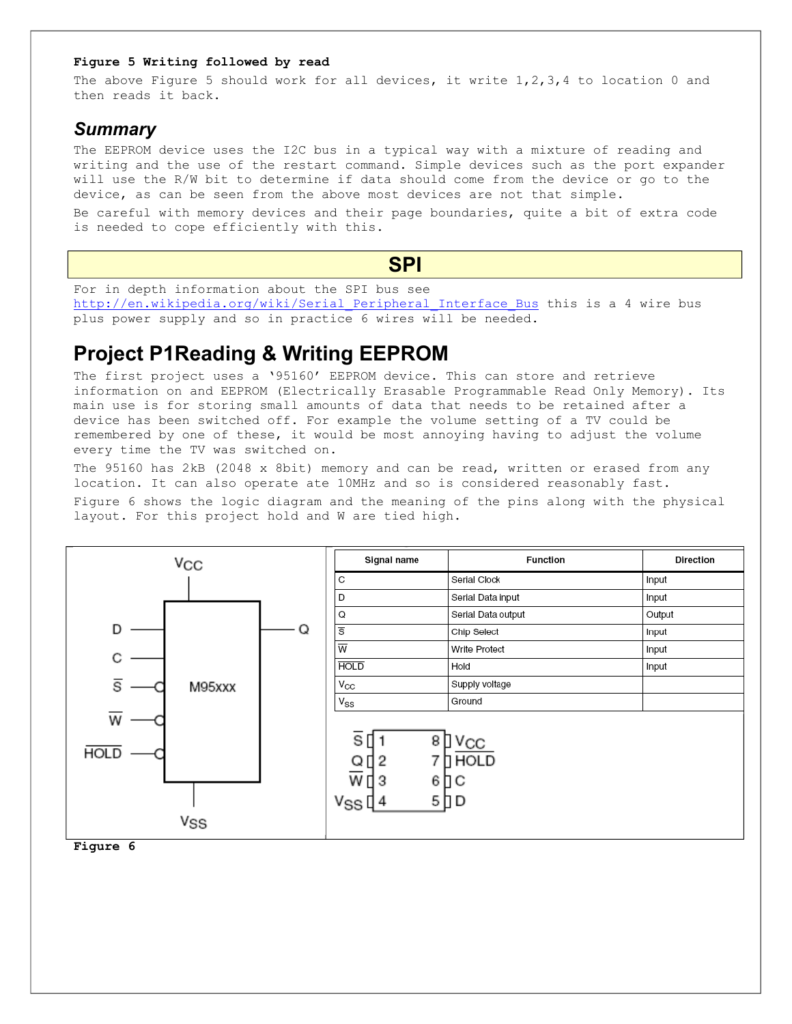#### <span id="page-5-1"></span>**Figure 5 Writing followed by read**

The above [Figure 5](#page-5-1) should work for all devices, it write 1, 2, 3, 4 to location 0 and then reads it back.

### *Summary*

The EEPROM device uses the I2C bus in a typical way with a mixture of reading and writing and the use of the restart command. Simple devices such as the port expander will use the R/W bit to determine if data should come from the device or go to the device, as can be seen from the above most devices are not that simple.

Be careful with memory devices and their page boundaries, quite a bit of extra code is needed to cope efficiently with this.

## **SPI**

For in depth information about the SPI bus see http://en.wikipedia.org/wiki/Serial Peripheral Interface Bus this is a 4 wire bus plus power supply and so in practice 6 wires will be needed.

# **Project P1Reading & Writing EEPROM**

The first project uses a '95160' EEPROM device. This can store and retrieve information on and EEPROM (Electrically Erasable Programmable Read Only Memory). Its main use is for storing small amounts of data that needs to be retained after a device has been switched off. For example the volume setting of a TV could be remembered by one of these, it would be most annoying having to adjust the volume every time the TV was switched on.

The 95160 has 2kB (2048 x 8bit) memory and can be read, written or erased from any location. It can also operate ate 10MHz and so is considered reasonably fast. [Figure 6](#page-5-0) shows the logic diagram and the meaning of the pins along with the physical layout. For this project hold and W are tied high.



<span id="page-5-0"></span>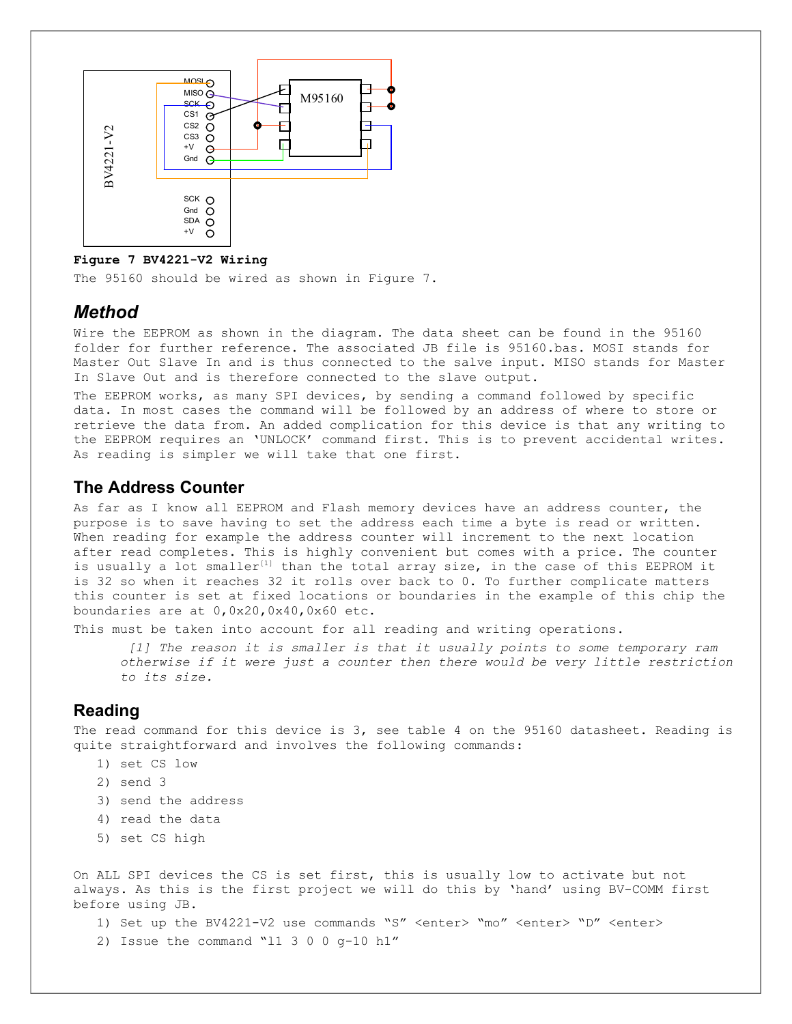

#### <span id="page-6-0"></span>**Figure 7 BV4221-V2 Wiring**

The 95160 should be wired as shown in [Figure 7.](#page-6-0)

### *Method*

Wire the EEPROM as shown in the diagram. The data sheet can be found in the 95160 folder for further reference. The associated JB file is 95160.bas. MOSI stands for Master Out Slave In and is thus connected to the salve input. MISO stands for Master In Slave Out and is therefore connected to the slave output.

The EEPROM works, as many SPI devices, by sending a command followed by specific data. In most cases the command will be followed by an address of where to store or retrieve the data from. An added complication for this device is that any writing to the EEPROM requires an 'UNLOCK' command first. This is to prevent accidental writes. As reading is simpler we will take that one first.

### **The Address Counter**

As far as I know all EEPROM and Flash memory devices have an address counter, the purpose is to save having to set the address each time a byte is read or written. When reading for example the address counter will increment to the next location after read completes. This is highly convenient but comes with a price. The counter is usually a lot smaller<sup>[1]</sup> than the total array size, in the case of this EEPROM it is 32 so when it reaches 32 it rolls over back to 0. To further complicate matters this counter is set at fixed locations or boundaries in the example of this chip the boundaries are at 0,0x20,0x40,0x60 etc.

This must be taken into account for all reading and writing operations.

*[1] The reason it is smaller is that it usually points to some temporary ram otherwise if it were just a counter then there would be very little restriction to its size.*

### **Reading**

The read command for this device is 3, see table 4 on the 95160 datasheet. Reading is quite straightforward and involves the following commands:

- 1) set CS low
- 2) send 3
- 3) send the address
- 4) read the data
- 5) set CS high

On ALL SPI devices the CS is set first, this is usually low to activate but not always. As this is the first project we will do this by 'hand' using BV-COMM first before using JB.

- 1) Set up the BV4221-V2 use commands "S" <enter> "mo" <enter> "D" <enter>
- 2) Issue the command "l1 3 0 0 g-10 h1"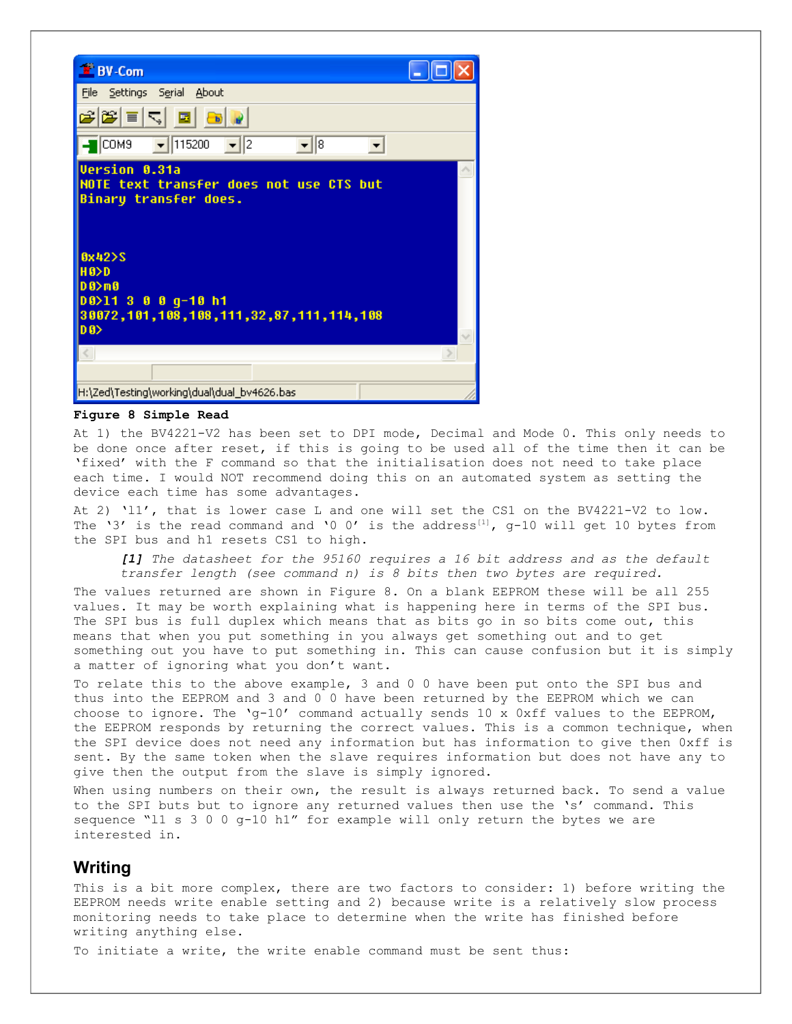

#### <span id="page-7-0"></span>**Figure 8 Simple Read**

At 1) the BV4221-V2 has been set to DPI mode, Decimal and Mode 0. This only needs to be done once after reset, if this is going to be used all of the time then it can be 'fixed' with the F command so that the initialisation does not need to take place each time. I would NOT recommend doing this on an automated system as setting the device each time has some advantages.

At 2) 'l1', that is lower case L and one will set the CS1 on the BV4221-V2 to low. The '3' is the read command and '0 0' is the address<sup>[1]</sup>, g-10 will get 10 bytes from the SPI bus and h1 resets CS1 to high.

*[1] The datasheet for the 95160 requires a 16 bit address and as the default transfer length (see command n) is 8 bits then two bytes are required.*

The values returned are shown in [Figure 8.](#page-7-0) On a blank EEPROM these will be all 255 values. It may be worth explaining what is happening here in terms of the SPI bus. The SPI bus is full duplex which means that as bits go in so bits come out, this means that when you put something in you always get something out and to get something out you have to put something in. This can cause confusion but it is simply a matter of ignoring what you don't want.

To relate this to the above example, 3 and 0 0 have been put onto the SPI bus and thus into the EEPROM and 3 and 0 0 have been returned by the EEPROM which we can choose to ignore. The  $q-10'$  command actually sends 10 x 0xff values to the EEPROM, the EEPROM responds by returning the correct values. This is a common technique, when the SPI device does not need any information but has information to give then 0xff is sent. By the same token when the slave requires information but does not have any to give then the output from the slave is simply ignored.

When using numbers on their own, the result is always returned back. To send a value to the SPI buts but to ignore any returned values then use the 's' command. This sequence "l1 s 3 0 0 g-10 h1" for example will only return the bytes we are interested in.

### **Writing**

This is a bit more complex, there are two factors to consider: 1) before writing the EEPROM needs write enable setting and 2) because write is a relatively slow process monitoring needs to take place to determine when the write has finished before writing anything else.

To initiate a write, the write enable command must be sent thus: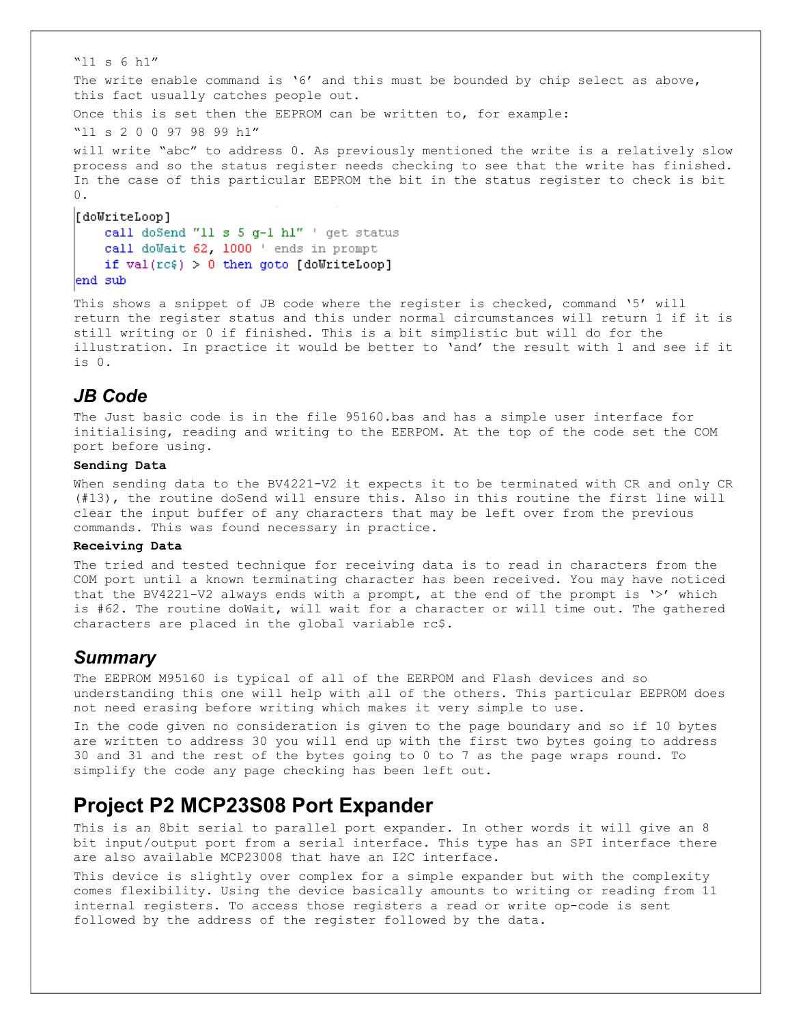```
"l1 s 6 h1"
The write enable command is '6' and this must be bounded by chip select as above, 
this fact usually catches people out.
Once this is set then the EEPROM can be written to, for example:
"l1 s 2 0 0 97 98 99 h1"
will write "abc" to address 0. As previously mentioned the write is a relatively slow
process and so the status register needs checking to see that the write has finished.
In the case of this particular EEPROM the bit in the status register to check is bit 
0.
[doWriteLoop]
    call doSend "11 s 5 g-1 h1" ' get status
    call doWait 62, 1000 ' ends in prompt
    if val(rc\xi) > 0 then goto [doWriteLoop]
end sub
```
This shows a snippet of JB code where the register is checked, command '5' will return the register status and this under normal circumstances will return 1 if it is still writing or 0 if finished. This is a bit simplistic but will do for the illustration. In practice it would be better to 'and' the result with 1 and see if it is 0.

## *JB Code*

The Just basic code is in the file 95160.bas and has a simple user interface for initialising, reading and writing to the EERPOM. At the top of the code set the COM port before using.

#### **Sending Data**

When sending data to the BV4221-V2 it expects it to be terminated with CR and only CR (#13), the routine doSend will ensure this. Also in this routine the first line will clear the input buffer of any characters that may be left over from the previous commands. This was found necessary in practice.

#### **Receiving Data**

The tried and tested technique for receiving data is to read in characters from the COM port until a known terminating character has been received. You may have noticed that the BV4221-V2 always ends with a prompt, at the end of the prompt is '>' which is #62. The routine doWait, will wait for a character or will time out. The gathered characters are placed in the global variable rc\$.

### *Summary*

The EEPROM M95160 is typical of all of the EERPOM and Flash devices and so understanding this one will help with all of the others. This particular EEPROM does not need erasing before writing which makes it very simple to use.

In the code given no consideration is given to the page boundary and so if 10 bytes are written to address 30 you will end up with the first two bytes going to address 30 and 31 and the rest of the bytes going to 0 to 7 as the page wraps round. To simplify the code any page checking has been left out.

## **Project P2 MCP23S08 Port Expander**

This is an 8bit serial to parallel port expander. In other words it will give an 8 bit input/output port from a serial interface. This type has an SPI interface there are also available MCP23008 that have an I2C interface.

This device is slightly over complex for a simple expander but with the complexity comes flexibility. Using the device basically amounts to writing or reading from 11 internal registers. To access those registers a read or write op-code is sent followed by the address of the register followed by the data.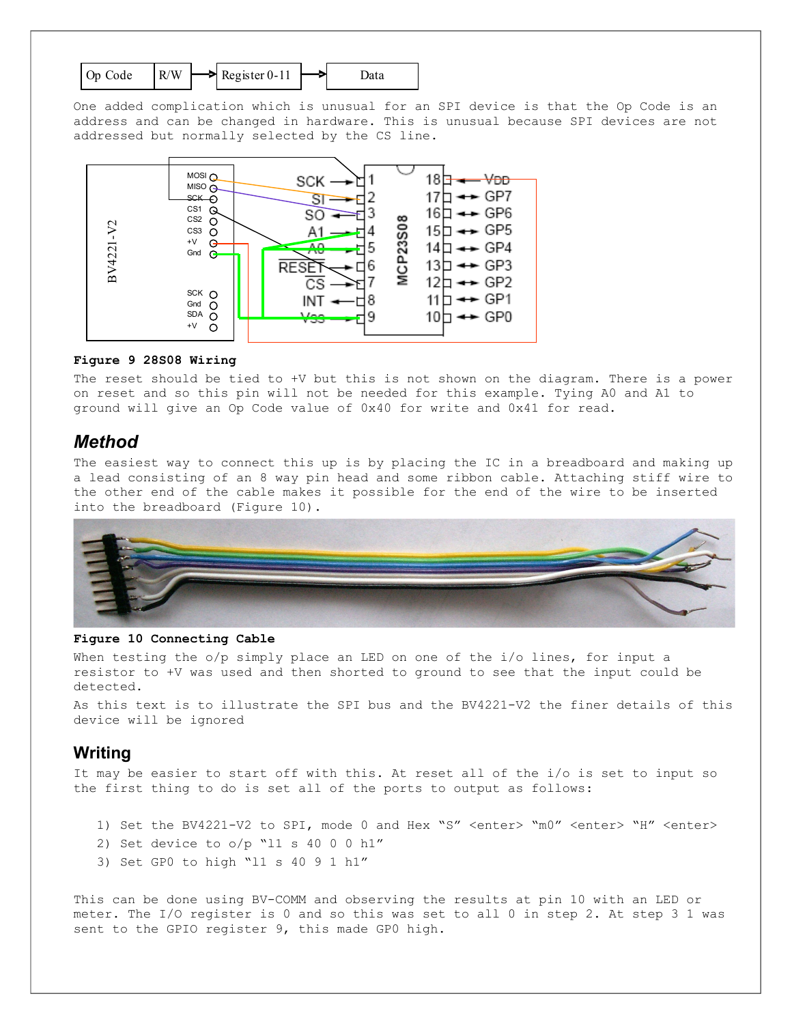

One added complication which is unusual for an SPI device is that the Op Code is an address and can be changed in hardware. This is unusual because SPI devices are not addressed but normally selected by the CS line.



#### **Figure 9 28S08 Wiring**

The reset should be tied to +V but this is not shown on the diagram. There is a power on reset and so this pin will not be needed for this example. Tying A0 and A1 to ground will give an Op Code value of 0x40 for write and 0x41 for read.

### *Method*

The easiest way to connect this up is by placing the IC in a breadboard and making up a lead consisting of an 8 way pin head and some ribbon cable. Attaching stiff wire to the other end of the cable makes it possible for the end of the wire to be inserted into the breadboard [\(Figure 10\)](#page-9-0).



#### <span id="page-9-0"></span>**Figure 10 Connecting Cable**

When testing the o/p simply place an LED on one of the i/o lines, for input a resistor to +V was used and then shorted to ground to see that the input could be detected.

As this text is to illustrate the SPI bus and the BV4221-V2 the finer details of this device will be ignored

### **Writing**

It may be easier to start off with this. At reset all of the i/o is set to input so the first thing to do is set all of the ports to output as follows:

- 1) Set the BV4221-V2 to SPI, mode 0 and Hex "S" <enter> "m0" <enter> "H" <enter>
- 2) Set device to o/p "l1 s 40 0 0 h1"
- 3) Set GP0 to high "l1 s 40 9 1 h1"

This can be done using BV-COMM and observing the results at pin 10 with an LED or meter. The I/O register is 0 and so this was set to all 0 in step 2. At step 3 1 was sent to the GPIO register 9, this made GP0 high.